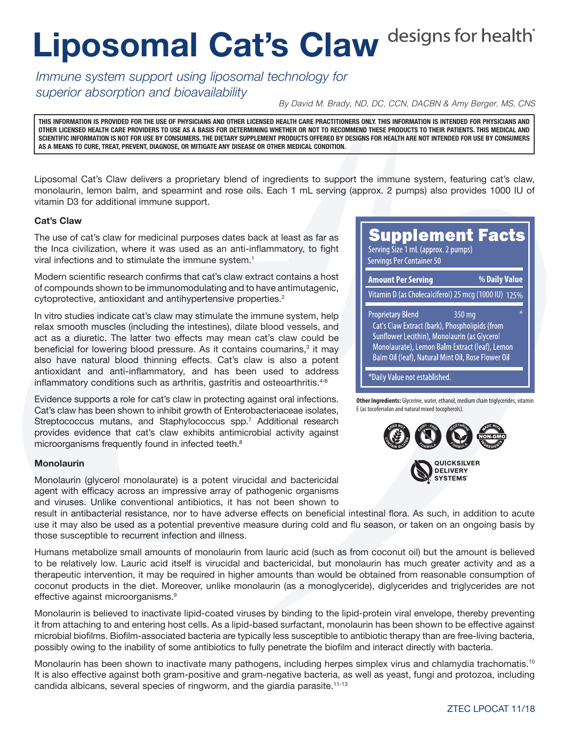# Liposomal Cat's Claw designs for health<sup>\*</sup>

*Immune system support using liposomal technology for superior absorption and bioavailability*

*By David M. Brady, ND, DC, CCN, DACBN & Amy Berger, MS, CNS*

**THIS INFORMATION IS PROVIDED FOR THE USE OF PHYSICIANS AND OTHER LICENSED HEALTH CARE PRACTITIONERS ONLY. THIS INFORMATION IS INTENDED FOR PHYSICIANS AND OTHER LICENSED HEALTH CARE PROVIDERS TO USE AS A BASIS FOR DETERMINING WHETHER OR NOT TO RECOMMEND THESE PRODUCTS TO THEIR PATIENTS. THIS MEDICAL AND SCIENTIFIC INFORMATION IS NOT FOR USE BY CONSUMERS. THE DIETARY SUPPLEMENT PRODUCTS OFFERED BY DESIGNS FOR HEALTH ARE NOT INTENDED FOR USE BY CONSUMERS AS A MEANS TO CURE, TREAT, PREVENT, DIAGNOSE, OR MITIGATE ANY DISEASE OR OTHER MEDICAL CONDITION.**

Liposomal Cat's Claw delivers a proprietary blend of ingredients to support the immune system, featuring cat's claw, monolaurin, lemon balm, and spearmint and rose oils. Each 1 mL serving (approx. 2 pumps) also provides 1000 IU of vitamin D3 for additional immune support.

### Cat's Claw

The use of cat's claw for medicinal purposes dates back at least as far as the Inca civilization, where it was used as an anti-inflammatory, to fight viral infections and to stimulate the immune system.<sup>1</sup>

Modern scientific research confirms that cat's claw extract contains a host of compounds shown to be immunomodulating and to have antimutagenic, cytoprotective, antioxidant and antihypertensive properties.<sup>2</sup>

In vitro studies indicate cat's claw may stimulate the immune system, help relax smooth muscles (including the intestines), dilate blood vessels, and act as a diuretic. The latter two effects may mean cat's claw could be beneficial for lowering blood pressure. As it contains coumarins,<sup>3</sup> it may also have natural blood thinning effects. Cat's claw is also a potent antioxidant and anti-inflammatory, and has been used to address inflammatory conditions such as arthritis, gastritis and osteoarthritis.<sup>4-6</sup>

Evidence supports a role for cat's claw in protecting against oral infections. Cat's claw has been shown to inhibit growth of Enterobacteriaceae isolates, Streptococcus mutans, and Staphylococcus spp.<sup>7</sup> Additional research provides evidence that cat's claw exhibits antimicrobial activity against microorganisms frequently found in infected teeth.<sup>8</sup>

### Monolaurin

Monolaurin (glycerol monolaurate) is a potent virucidal and bactericidal agent with efficacy across an impressive array of pathogenic organisms and viruses. Unlike conventional antibiotics, it has not been shown to **Supplement Facts** Serving Size 1 mL (approx. 2 pumps)

Servings Per Container 50

| <b>Amount Per Serving</b>                                                                                                                                                                                                                          | % Daily Value |
|----------------------------------------------------------------------------------------------------------------------------------------------------------------------------------------------------------------------------------------------------|---------------|
| Vitamin D (as Cholecalciferol) 25 mcg (1000 IU) 125%                                                                                                                                                                                               |               |
| ¥.<br><b>Proprietary Blend</b><br>350 mg<br>Cat's Claw Extract (bark), Phospholipids (from<br>Sunflower Lecithin), Monolaurin (as Glycerol<br>Monolaurate), Lemon Balm Extract (leaf), Lemon<br>Balm Oil (leaf), Natural Mint Oil, Rose Flower Oil |               |
| *Daily Value not established.                                                                                                                                                                                                                      |               |

**Other Ingredients:** Glycerine, water, ethanol, medium chain triglycerides, vitamin E (as tocofersolan and natural mixed tocopherols).



result in antibacterial resistance, nor to have adverse effects on beneficial intestinal flora. As such, in addition to acute use it may also be used as a potential preventive measure during cold and flu season, or taken on an ongoing basis by those susceptible to recurrent infection and illness.

Humans metabolize small amounts of monolaurin from lauric acid (such as from coconut oil) but the amount is believed to be relatively low. Lauric acid itself is virucidal and bactericidal, but monolaurin has much greater activity and as a therapeutic intervention, it may be required in higher amounts than would be obtained from reasonable consumption of coconut products in the diet. Moreover, unlike monolaurin (as a monoglyceride), diglycerides and triglycerides are not effective against microorganisms.<sup>9</sup>

Monolaurin is believed to inactivate lipid-coated viruses by binding to the lipid-protein viral envelope, thereby preventing it from attaching to and entering host cells. As a lipid-based surfactant, monolaurin has been shown to be effective against microbial biofilms. Biofilm-associated bacteria are typically less susceptible to antibiotic therapy than are free-living bacteria, possibly owing to the inability of some antibiotics to fully penetrate the biofilm and interact directly with bacteria.

Monolaurin has been shown to inactivate many pathogens, including herpes simplex virus and chlamydia trachomatis.<sup>10</sup> It is also effective against both gram-positive and gram-negative bacteria, as well as yeast, fungi and protozoa, including candida albicans, several species of ringworm, and the giardia parasite.11-13